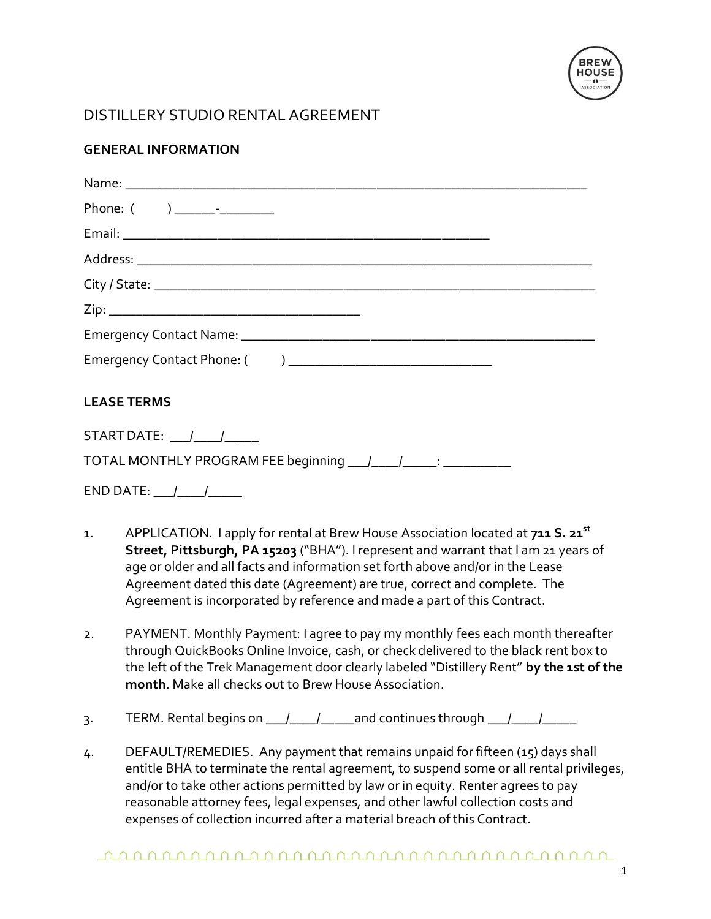

## DISTILLERY STUDIO RENTAL AGREEMENT

## **GENERAL INFORMATION**

| <b>LEASE TERMS</b>                  |  |  |  |
|-------------------------------------|--|--|--|
| START DATE: $\frac{1}{\frac{1}{2}}$ |  |  |  |
|                                     |  |  |  |
|                                     |  |  |  |

- 1. APPLICATION. I apply for rental at Brew House Association located at **711 S. 21st Street, Pittsburgh, PA 15203** ("BHA"). I represent and warrant that I am 21 years of age or older and all facts and information set forth above and/or in the Lease Agreement dated this date (Agreement) are true, correct and complete. The Agreement is incorporated by reference and made a part of this Contract.
- 2. PAYMENT. Monthly Payment: I agree to pay my monthly fees each month thereafter through QuickBooks Online Invoice, cash, or check delivered to the black rent box to the left of the Trek Management door clearly labeled "Distillery Rent" **by the 1st of the month**. Make all checks out to Brew House Association.
- 3. TERM. Rental begins on  $\frac{1}{\sqrt{2}}$  and continues through  $\frac{1}{\sqrt{2}}$
- 4. DEFAULT/REMEDIES. Any payment that remains unpaid for fifteen (15) days shall entitle BHA to terminate the rental agreement, to suspend some or all rental privileges, and/or to take other actions permitted by law or in equity. Renter agrees to pay reasonable attorney fees, legal expenses, and other lawful collection costs and expenses of collection incurred after a material breach of this Contract.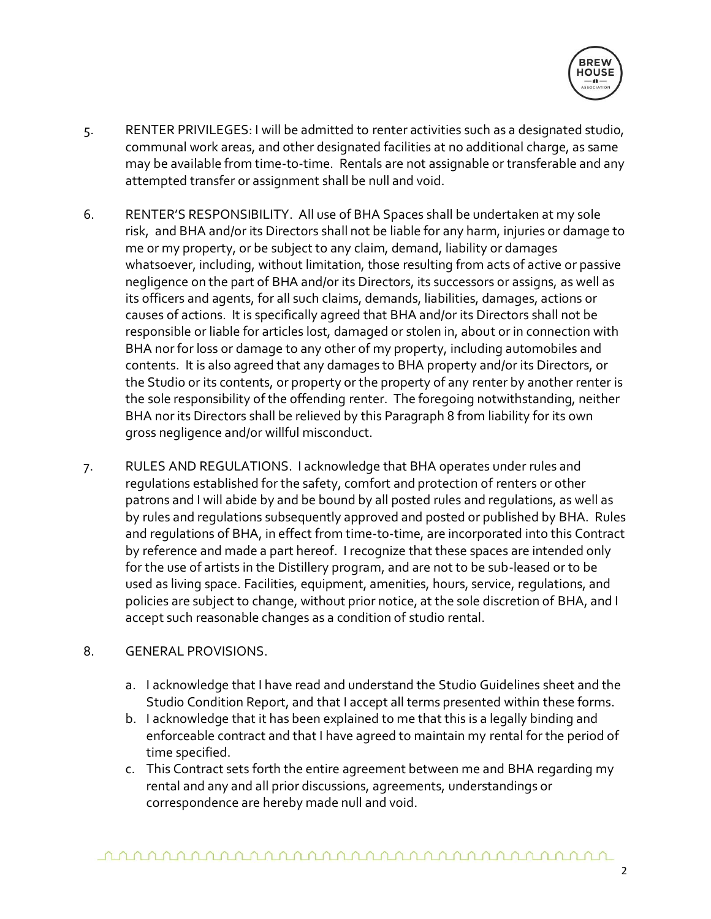

- 5. RENTER PRIVILEGES: I will be admitted to renter activities such as a designated studio, communal work areas, and other designated facilities at no additional charge, as same may be available from time-to-time. Rentals are not assignable or transferable and any attempted transfer or assignment shall be null and void.
- 6. RENTER'S RESPONSIBILITY. All use of BHA Spaces shall be undertaken at my sole risk, and BHA and/or its Directors shall not be liable for any harm, injuries or damage to me or my property, or be subject to any claim, demand, liability or damages whatsoever, including, without limitation, those resulting from acts of active or passive negligence on the part of BHA and/or its Directors, its successors or assigns, as well as its officers and agents, for all such claims, demands, liabilities, damages, actions or causes of actions. It is specifically agreed that BHA and/or its Directors shall not be responsible or liable for articles lost, damaged or stolen in, about or in connection with BHA nor for loss or damage to any other of my property, including automobiles and contents. It is also agreed that any damages to BHA property and/or its Directors, or the Studio or its contents, or property or the property of any renter by another renter is the sole responsibility of the offending renter. The foregoing notwithstanding, neither BHA nor its Directors shall be relieved by this Paragraph 8 from liability for its own gross negligence and/or willful misconduct.
- 7. RULES AND REGULATIONS. I acknowledge that BHA operates under rules and regulations established for the safety, comfort and protection of renters or other patrons and I will abide by and be bound by all posted rules and regulations, as well as by rules and regulations subsequently approved and posted or published by BHA. Rules and regulations of BHA, in effect from time-to-time, are incorporated into this Contract by reference and made a part hereof. I recognize that these spaces are intended only for the use of artists in the Distillery program, and are not to be sub-leased or to be used as living space. Facilities, equipment, amenities, hours, service, regulations, and policies are subject to change, without prior notice, at the sole discretion of BHA, and I accept such reasonable changes as a condition of studio rental.

## 8. GENERAL PROVISIONS.

- a. I acknowledge that I have read and understand the Studio Guidelines sheet and the Studio Condition Report, and that I accept all terms presented within these forms.
- b. I acknowledge that it has been explained to me that this is a legally binding and enforceable contract and that I have agreed to maintain my rental for the period of time specified.
- c. This Contract sets forth the entire agreement between me and BHA regarding my rental and any and all prior discussions, agreements, understandings or correspondence are hereby made null and void.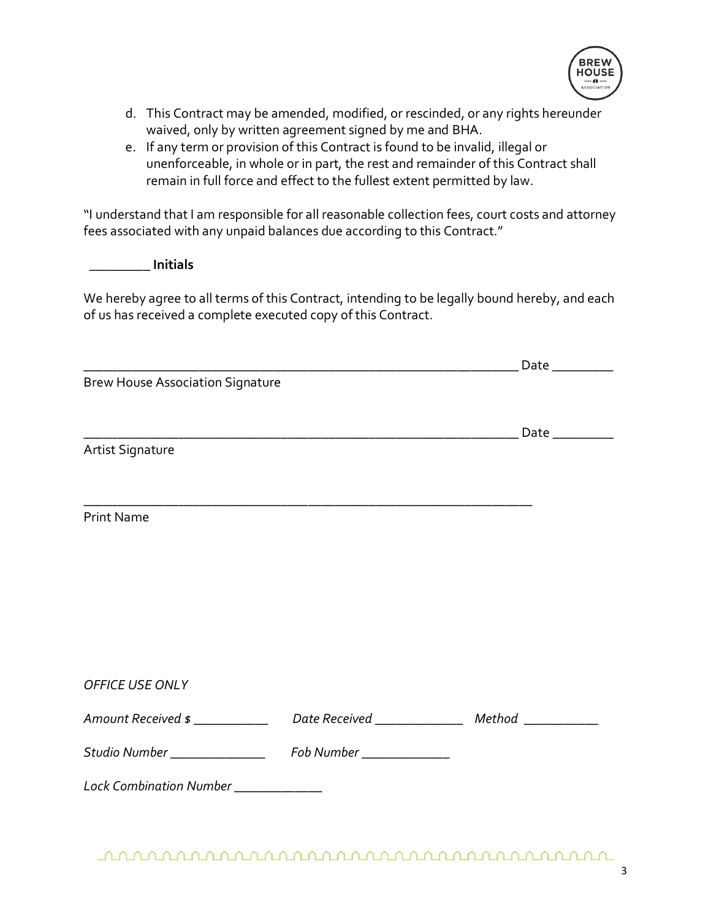

- d. This Contract may be amended, modified, or rescinded, or any rights hereunder waived, only by written agreement signed by me and BHA.
- e. If any term or provision of this Contract is found to be invalid, illegal or unenforceable, in whole or in part, the rest and remainder of this Contract shall remain in full force and effect to the fullest extent permitted by law.

"I understand that I am responsible for all reasonable collection fees, court costs and attorney fees associated with any unpaid balances due according to this Contract."

 **\_\_\_\_\_\_\_\_\_ Initials** 

We hereby agree to all terms of this Contract, intending to be legally bound hereby, and each of us has received a complete executed copy of this Contract.

|                                                             | Date $\_\_\_\_\_\_\_\_\_\_\_\_\_\_$              |
|-------------------------------------------------------------|--------------------------------------------------|
| <b>Brew House Association Signature</b>                     |                                                  |
|                                                             |                                                  |
| <b>Artist Signature</b>                                     |                                                  |
|                                                             |                                                  |
| <b>Print Name</b>                                           |                                                  |
|                                                             |                                                  |
|                                                             |                                                  |
|                                                             |                                                  |
|                                                             |                                                  |
| OFFICE USE ONLY                                             |                                                  |
| Amount Received \$ ___________                              | Date Received _______________ Method ___________ |
| Studio Number ___________________ Fob Number ______________ |                                                  |
| Lock Combination Number ____________                        |                                                  |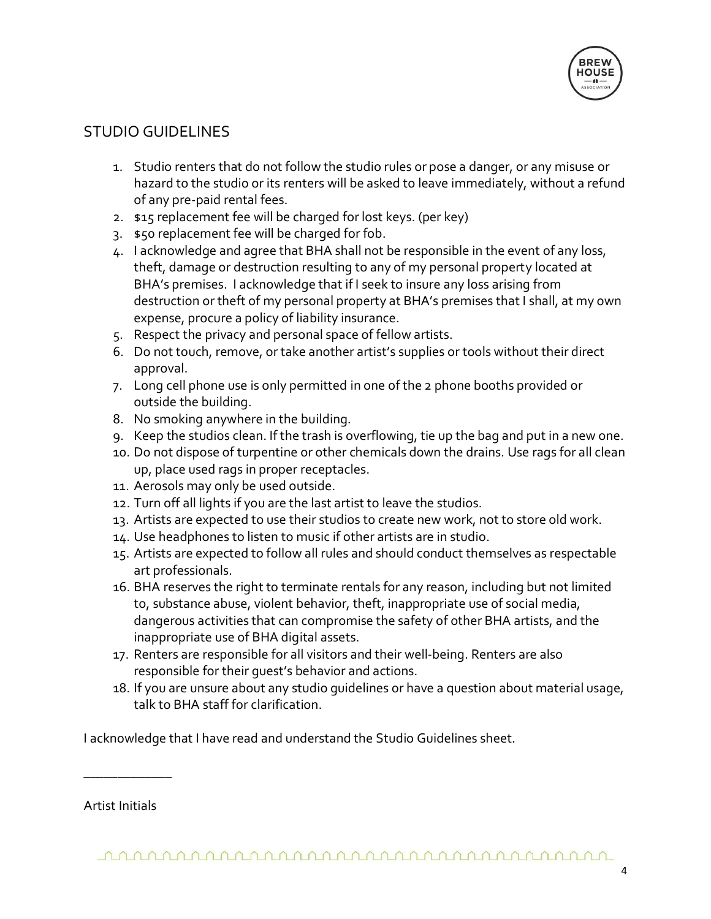

## STUDIO GUIDELINES

- 1. Studio renters that do not follow the studio rules or pose a danger, or any misuse or hazard to the studio or its renters will be asked to leave immediately, without a refund of any pre-paid rental fees.
- 2. \$15 replacement fee will be charged for lost keys. (per key)
- 3. \$50 replacement fee will be charged for fob.
- 4. I acknowledge and agree that BHA shall not be responsible in the event of any loss, theft, damage or destruction resulting to any of my personal property located at BHA's premises. I acknowledge that if I seek to insure any loss arising from destruction or theft of my personal property at BHA's premises that I shall, at my own expense, procure a policy of liability insurance.
- 5. Respect the privacy and personal space of fellow artists.
- 6. Do not touch, remove, or take another artist's supplies or tools without their direct approval.
- 7. Long cell phone use is only permitted in one of the 2 phone booths provided or outside the building.
- 8. No smoking anywhere in the building.
- 9. Keep the studios clean. If the trash is overflowing, tie up the bag and put in a new one.
- 10. Do not dispose of turpentine or other chemicals down the drains. Use rags for all clean up, place used rags in proper receptacles.
- 11. Aerosols may only be used outside.
- 12. Turn off all lights if you are the last artist to leave the studios.
- 13. Artists are expected to use their studios to create new work, not to store old work.
- 14. Use headphones to listen to music if other artists are in studio.
- 15. Artists are expected to follow all rules and should conduct themselves as respectable art professionals.
- 16. BHA reserves the right to terminate rentals for any reason, including but not limited to, substance abuse, violent behavior, theft, inappropriate use of social media, dangerous activities that can compromise the safety of other BHA artists, and the inappropriate use of BHA digital assets.
- 17. Renters are responsible for all visitors and their well-being. Renters are also responsible for their guest's behavior and actions.
- 18. If you are unsure about any studio guidelines or have a question about material usage, talk to BHA staff for clarification.

I acknowledge that I have read and understand the Studio Guidelines sheet.

Artist Initials

\_\_\_\_\_\_\_\_\_\_\_\_\_